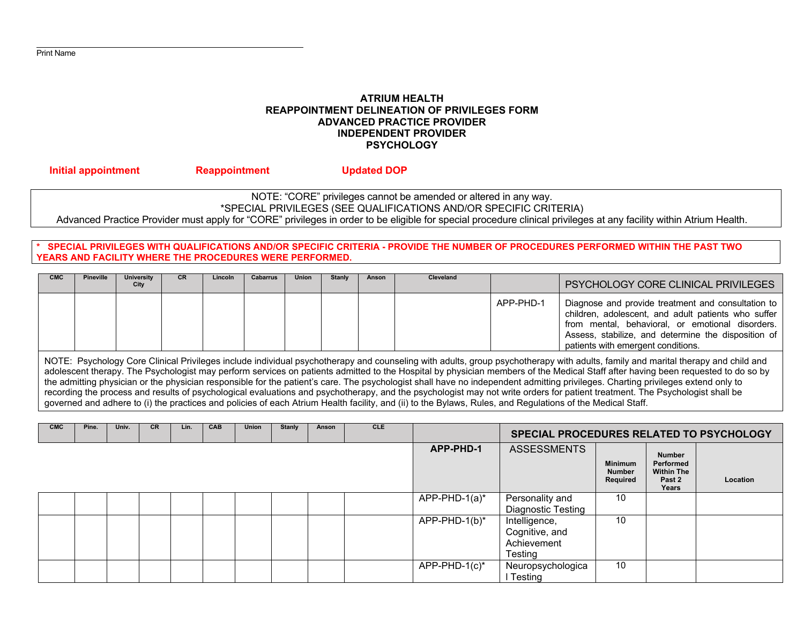## **ATRIUM HEALTH REAPPOINTMENT DELINEATION OF PRIVILEGES FORM ADVANCED PRACTICE PROVIDER INDEPENDENT PROVIDER PSYCHOLOGY**

# NOTE: "CORE" privileges cannot be amended or altered in any way. \*SPECIAL PRIVILEGES (SEE QUALIFICATIONS AND/OR SPECIFIC CRITERIA) Advanced Practice Provider must apply for "CORE" privileges in order to be eligible for special procedure clinical privileges at any facility within Atrium Health.

 **Initial appointment Reappointment Updated DOP** 

SPECIAL PRIVILEGES WITH QUALIFICATIONS AND/OR SPECIFIC CRITERIA - PROVIDE THE NUMBER OF PROCEDURES PERFORMED WITHIN THE PAST TWO **YEARS AND FACILITY WHERE THE PROCEDURES WERE PERFORMED.** 

| <b>CMC</b> | <b>Pineville</b>                                                                                                                                                                 | University<br>City | <b>CR</b> | Lincoln | <b>Cabarrus</b> | <b>Union</b> | <b>Stanly</b> | Anson | <b>Cleveland</b> |           | PSYCHOLOGY CORE CLINICAL PRIVILEGES                                                                                                                                                                                                                        |
|------------|----------------------------------------------------------------------------------------------------------------------------------------------------------------------------------|--------------------|-----------|---------|-----------------|--------------|---------------|-------|------------------|-----------|------------------------------------------------------------------------------------------------------------------------------------------------------------------------------------------------------------------------------------------------------------|
|            |                                                                                                                                                                                  |                    |           |         |                 |              |               |       |                  | APP-PHD-1 | Diagnose and provide treatment and consultation to<br>children, adolescent, and adult patients who suffer<br>from mental, behavioral, or emotional disorders.<br>Assess, stabilize, and determine the disposition of<br>patients with emergent conditions. |
|            | NOTE: Psychology Core Clinical Privileges include individual psychotherapy and counseling with adults, group psychotherapy with adults, family and marital therapy and child and |                    |           |         |                 |              |               |       |                  |           |                                                                                                                                                                                                                                                            |

adolescent therapy. The Psychologist may perform services on patients admitted to the Hospital by physician members of the Medical Staff after having been requested to do so by the admitting physician or the physician responsible for the patient's care. The psychologist shall have no independent admitting privileges. Charting privileges extend only to recording the process and results of psychological evaluations and psychotherapy, and the psychologist may not write orders for patient treatment. The Psychologist shall be governed and adhere to (i) the practices and policies of each Atrium Health facility, and (ii) to the Bylaws, Rules, and Regulations of the Medical Staff.

| <b>CMC</b> | Pine. | Univ. | <b>CR</b> | Lin. | <b>CAB</b> | Union | <b>Stanly</b> | Anson | <b>CLE</b> |                  | SPECIAL PROCEDURES RELATED TO PSYCHOLOGY |                                             |                                                             |          |
|------------|-------|-------|-----------|------|------------|-------|---------------|-------|------------|------------------|------------------------------------------|---------------------------------------------|-------------------------------------------------------------|----------|
|            |       |       |           |      |            |       |               |       |            | APP-PHD-1        | <b>ASSESSMENTS</b>                       | <b>Minimum</b><br><b>Number</b><br>Required | Number<br>Performed<br><b>Within The</b><br>Past 2<br>Years | Location |
|            |       |       |           |      |            |       |               |       |            | $APP-PHD-1(a)^*$ | Personality and                          | 10                                          |                                                             |          |
|            |       |       |           |      |            |       |               |       |            |                  | Diagnostic Testing                       |                                             |                                                             |          |
|            |       |       |           |      |            |       |               |       |            | APP-PHD-1(b)*    | Intelligence,                            | 10                                          |                                                             |          |
|            |       |       |           |      |            |       |               |       |            |                  | Cognitive, and                           |                                             |                                                             |          |
|            |       |       |           |      |            |       |               |       |            |                  | Achievement                              |                                             |                                                             |          |
|            |       |       |           |      |            |       |               |       |            |                  | Testing                                  |                                             |                                                             |          |
|            |       |       |           |      |            |       |               |       |            | APP-PHD-1(c)*    | Neuropsychologica                        | 10                                          |                                                             |          |
|            |       |       |           |      |            |       |               |       |            |                  | Testing                                  |                                             |                                                             |          |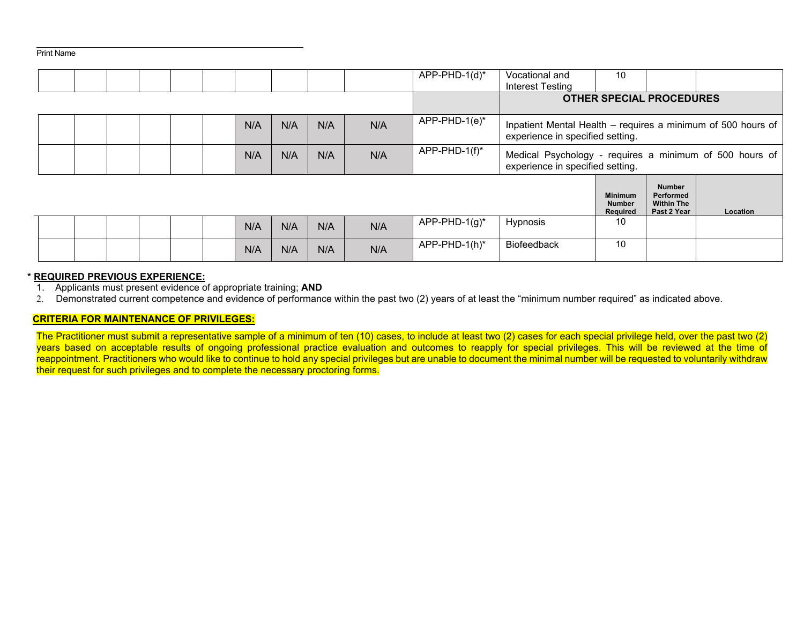|  |  |  |  |  |  |     |     |     |     | APP-PHD-1(d)*               | Vocational and<br>Interest Testing                                                               | 10                                          |                                                                |          |
|--|--|--|--|--|--|-----|-----|-----|-----|-----------------------------|--------------------------------------------------------------------------------------------------|---------------------------------------------|----------------------------------------------------------------|----------|
|  |  |  |  |  |  |     |     |     |     |                             | <b>OTHER SPECIAL PROCEDURES</b>                                                                  |                                             |                                                                |          |
|  |  |  |  |  |  | N/A | N/A | N/A | N/A | $\overline{APP-PHD-1(e)^*}$ | Inpatient Mental Health - requires a minimum of 500 hours of<br>experience in specified setting. |                                             |                                                                |          |
|  |  |  |  |  |  | N/A | N/A | N/A | N/A | APP-PHD-1(f)*               | Medical Psychology - requires a minimum of 500 hours of<br>experience in specified setting.      |                                             |                                                                |          |
|  |  |  |  |  |  |     |     |     |     |                             |                                                                                                  | <b>Minimum</b><br><b>Number</b><br>Required | <b>Number</b><br>Performed<br><b>Within The</b><br>Past 2 Year | Location |
|  |  |  |  |  |  | N/A | N/A | N/A | N/A | APP-PHD-1(g)*               | Hypnosis                                                                                         | 10                                          |                                                                |          |
|  |  |  |  |  |  | N/A | N/A | N/A | N/A | APP-PHD-1(h)*               | Biofeedback                                                                                      | 10                                          |                                                                |          |

### **\* REQUIRED PREVIOUS EXPERIENCE:**

1. Applicants must present evidence of appropriate training; **AND**

2. Demonstrated current competence and evidence of performance within the past two (2) years of at least the "minimum number required" as indicated above.

#### **CRITERIA FOR MAINTENANCE OF PRIVILEGES:**

The Practitioner must submit a representative sample of a minimum of ten (10) cases, to include at least two (2) cases for each special privilege held, over the past two (2) years based on acceptable results of ongoing professional practice evaluation and outcomes to reapply for special privileges. This will be reviewed at the time of reappointment. Practitioners who would like to continue to hold any special privileges but are unable to document the minimal number will be requested to voluntarily withdraw their request for such privileges and to complete the necessary proctoring forms.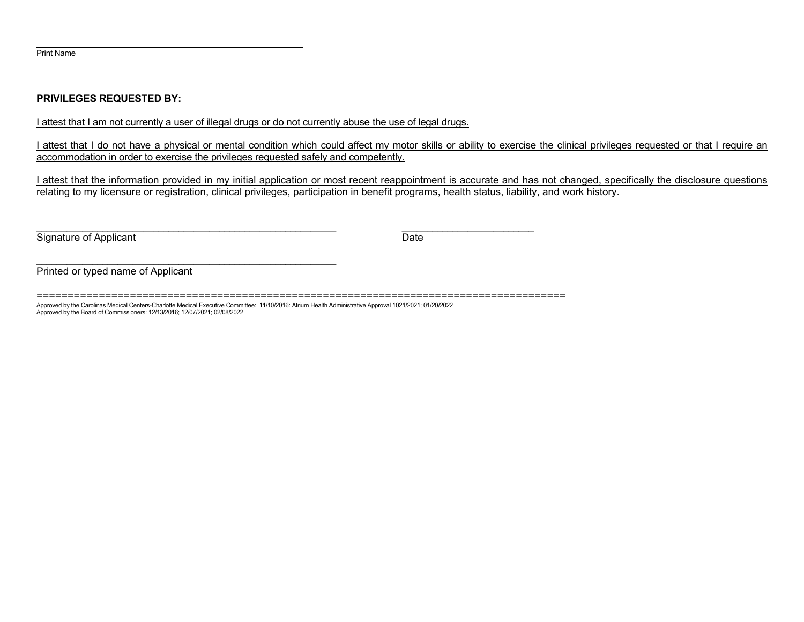## **PRIVILEGES REQUESTED BY:**

I attest that I am not currently a user of illegal drugs or do not currently abuse the use of legal drugs.

I attest that I do not have a physical or mental condition which could affect my motor skills or ability to exercise the clinical privileges requested or that I require an accommodation in order to exercise the privileges requested safely and competently.

I attest that the information provided in my initial application or most recent reappointment is accurate and has not changed, specifically the disclosure questions relating to my licensure or registration, clinical privileges, participation in benefit programs, health status, liability, and work history.

Signature of Applicant Date

Printed or typed name of Applicant

===================================================================================== Approved by the Carolinas Medical Centers-Charlotte Medical Executive Committee: 11/10/2016: Atrium Health Administrative Approval 1021/2021; 01/20/2022 Approved by the Board of Commissioners: 12/13/2016; 12/07/2021; 02/08/2022

\_\_\_\_\_\_\_\_\_\_\_\_\_\_\_\_\_\_\_\_\_\_\_\_\_\_\_\_\_\_\_\_\_\_\_\_\_\_\_\_\_\_\_\_\_\_\_\_\_\_\_\_\_\_\_\_\_\_\_ \_\_\_\_\_\_\_\_\_\_\_\_\_\_\_\_\_\_\_\_\_\_\_\_\_\_